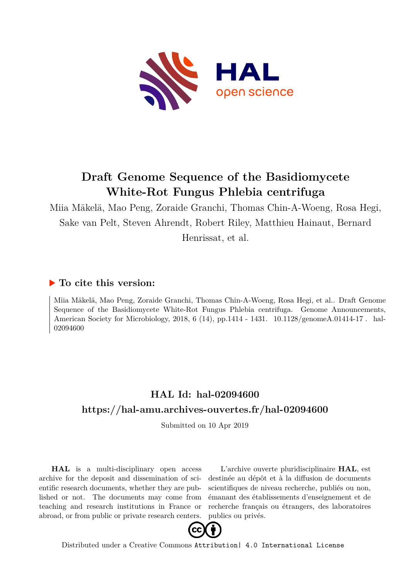

# **Draft Genome Sequence of the Basidiomycete White-Rot Fungus Phlebia centrifuga**

Miia Mäkelä, Mao Peng, Zoraide Granchi, Thomas Chin-A-Woeng, Rosa Hegi, Sake van Pelt, Steven Ahrendt, Robert Riley, Matthieu Hainaut, Bernard

Henrissat, et al.

### **To cite this version:**

Miia Mäkelä, Mao Peng, Zoraide Granchi, Thomas Chin-A-Woeng, Rosa Hegi, et al.. Draft Genome Sequence of the Basidiomycete White-Rot Fungus Phlebia centrifuga. Genome Announcements, American Society for Microbiology, 2018, 6 (14), pp.1414 - 1431. 10.1128/genomeA.01414-17. hal-02094600

### **HAL Id: hal-02094600 <https://hal-amu.archives-ouvertes.fr/hal-02094600>**

Submitted on 10 Apr 2019

**HAL** is a multi-disciplinary open access archive for the deposit and dissemination of scientific research documents, whether they are published or not. The documents may come from teaching and research institutions in France or abroad, or from public or private research centers.

L'archive ouverte pluridisciplinaire **HAL**, est destinée au dépôt et à la diffusion de documents scientifiques de niveau recherche, publiés ou non, émanant des établissements d'enseignement et de recherche français ou étrangers, des laboratoires publics ou privés.



Distributed under a Creative Commons [Attribution| 4.0 International License](http://creativecommons.org/licenses/by/4.0/)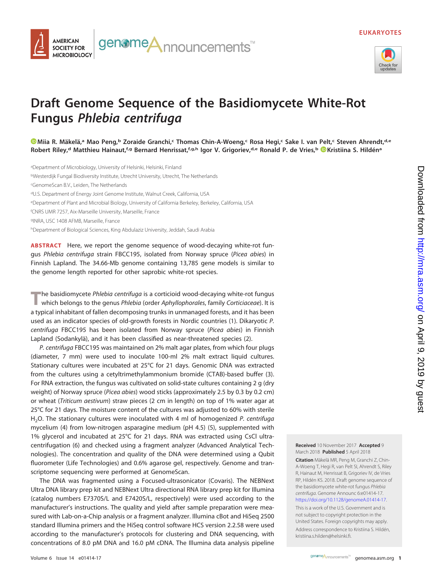

# **Draft Genome Sequence of the Basidiomycete White-Rot Fungus Phlebia centrifuga**

genomeA<sub>nnouncements™</sub>

**[Miia R. Mäkelä,](https://orcid.org/0000-0003-0771-2329)a Mao Peng,b Zoraide Granchi,c Thomas Chin-A-Woeng,c Rosa Hegi,c Sake I. van Pelt,c Steven Ahrendt,d,e** Robert Riley,<sup>d</sup> Matthieu Hainaut,<sup>f,g</sup> Bernard Henrissat,<sup>f,g,h</sup> Igor V. Grigoriev,<sup>d,e</sup> Ronald P. de Vries,<sup>b</sup> EXristiina S. Hildén<sup>a</sup>

<sup>a</sup>Department of Microbiology, University of Helsinki, Helsinki, Finland <sup>b</sup>Westerdijk Fungal Biodiversity Institute, Utrecht University, Utrecht, The Netherlands c GenomeScan B.V., Leiden, The Netherlands <sup>d</sup>U.S. Department of Energy Joint Genome Institute, Walnut Creek, California, USA <sup>e</sup>Department of Plant and Microbial Biology, University of California Berkeley, Berkeley, California, USA f CNRS UMR 7257, Aix-Marseille University, Marseille, France <sup>g</sup>INRA, USC 1408 AFMB, Marseille, France <sup>h</sup>Department of Biological Sciences, King Abdulaziz University, Jeddah, Saudi Arabia

**ABSTRACT** Here, we report the genome sequence of wood-decaying white-rot fungus Phlebia centrifuga strain FBCC195, isolated from Norway spruce (Picea abies) in Finnish Lapland. The 34.66-Mb genome containing 13,785 gene models is similar to the genome length reported for other saprobic white-rot species.

The basidiomycete Phlebia centrifuga is a corticioid wood-decaying white-rot fungus<br>which belongs to the genus Phlebia (order Aphyllophorales, family Corticiaceae). It is a typical inhabitant of fallen decomposing trunks in unmanaged forests, and it has been used as an indicator species of old-growth forests in Nordic countries (1). Dikaryotic P. centrifuga FBCC195 has been isolated from Norway spruce (Picea abies) in Finnish Lapland (Sodankylä), and it has been classified as near-threatened species (2).

P. centrifuga FBCC195 was maintained on 2% malt agar plates, from which four plugs (diameter, 7 mm) were used to inoculate 100-ml 2% malt extract liquid cultures. Stationary cultures were incubated at 25°C for 21 days. Genomic DNA was extracted from the cultures using a cetyltrimethylammonium bromide (CTAB)-based buffer (3). For RNA extraction, the fungus was cultivated on solid-state cultures containing 2 g (dry weight) of Norway spruce (Picea abies) wood sticks (approximately 2.5 by 0.3 by 0.2 cm) or wheat (Triticum aestivum) straw pieces (2 cm in length) on top of 1% water agar at 25°C for 21 days. The moisture content of the cultures was adjusted to 60% with sterile H<sub>2</sub>O. The stationary cultures were inoculated with 4 ml of homogenized P. centrifuga mycelium (4) from low-nitrogen asparagine medium (pH 4.5) (5), supplemented with 1% glycerol and incubated at 25°C for 21 days. RNA was extracted using CsCl ultracentrifugation (6) and checked using a fragment analyzer (Advanced Analytical Technologies). The concentration and quality of the DNA were determined using a Qubit fluorometer (Life Technologies) and 0.6% agarose gel, respectively. Genome and transcriptome sequencing were performed at GenomeScan.

The DNA was fragmented using a Focused-ultrasonicator (Covaris). The NEBNext Ultra DNA library prep kit and NEBNext Ultra directional RNA library prep kit for Illumina (catalog numbers E7370S/L and E7420S/L, respectively) were used according to the manufacturer's instructions. The quality and yield after sample preparation were measured with Lab-on-a-Chip analysis or a fragment analyzer. Illumina cBot and HiSeq 2500 standard Illumina primers and the HiSeq control software HCS version 2.2.58 were used according to the manufacturer's protocols for clustering and DNA sequencing, with concentrations of 8.0 pM DNA and 16.0 pM cDNA. The Illumina data analysis pipeline

**AMERICAN SOCIETY FOR MICROBIOLOGY** 

> **Received** 10 November 2017 **Accepted** 9 March 2018 **Published** 5 April 2018

**Citation** Mäkelä MR, Peng M, Granchi Z, Chin-A-Woeng T, Hegi R, van Pelt SI, Ahrendt S, Riley R, Hainaut M, Henrissat B, Grigoriev IV, de Vries RP, Hildén KS. 2018. Draft genome sequence of the basidiomycete white-rot fungus Phlebia centrifuga. Genome Announc 6:e01414-17. [https://doi.org/10.1128/genomeA.01414-17.](https://doi.org/10.1128/genomeA.01414-17) This is a work of the U.S. Government and is not subject to copyright protection in the United States. Foreign copyrights may apply. Address correspondence to Kristiina S. Hildén, [kristiina.s.hilden@helsinki.fi.](mailto:kristiina.s.hilden@helsinki.fi)